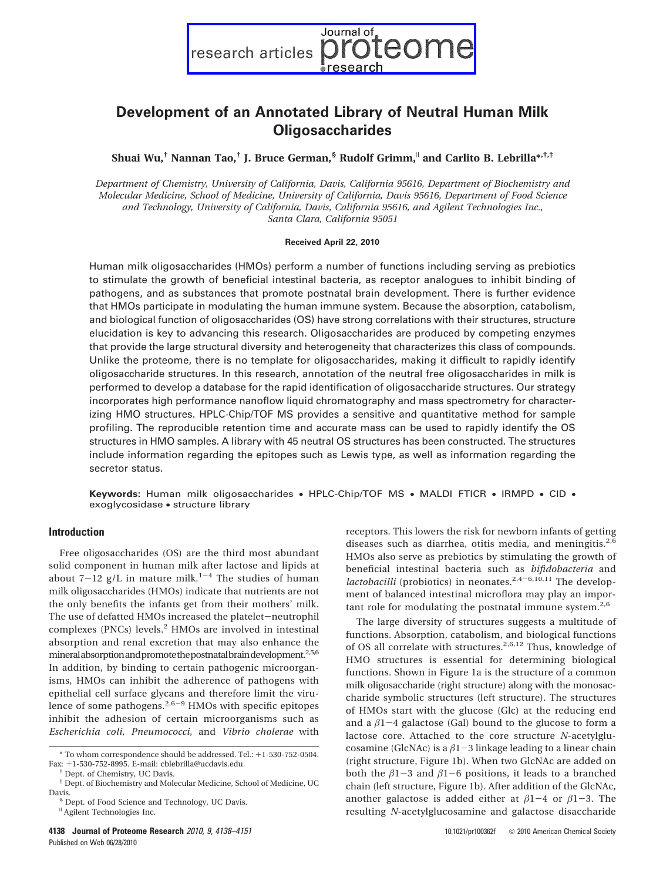research articles

Journal of

# **Development of an Annotated Library of Neutral Human Milk Oligosaccharides**

**Shuai Wu,† Nannan Tao,† J. Bruce German,§ Rudolf Grimm,**<sup>|</sup> **and Carlito B. Lebrilla\*,†,‡**

*Department of Chemistry, University of California, Davis, California 95616, Department of Biochemistry and Molecular Medicine, School of Medicine, University of California, Davis 95616, Department of Food Science and Technology, University of California, Davis, California 95616, and Agilent Technologies Inc., Santa Clara, California 95051*

#### **Received April 22, 2010**

Human milk oligosaccharides (HMOs) perform a number of functions including serving as prebiotics to stimulate the growth of beneficial intestinal bacteria, as receptor analogues to inhibit binding of pathogens, and as substances that promote postnatal brain development. There is further evidence that HMOs participate in modulating the human immune system. Because the absorption, catabolism, and biological function of oligosaccharides (OS) have strong correlations with their structures, structure elucidation is key to advancing this research. Oligosaccharides are produced by competing enzymes that provide the large structural diversity and heterogeneity that characterizes this class of compounds. Unlike the proteome, there is no template for oligosaccharides, making it difficult to rapidly identify oligosaccharide structures. In this research, annotation of the neutral free oligosaccharides in milk is performed to develop a database for the rapid identification of oligosaccharide structures. Our strategy incorporates high performance nanoflow liquid chromatography and mass spectrometry for characterizing HMO structures. HPLC-Chip/TOF MS provides a sensitive and quantitative method for sample profiling. The reproducible retention time and accurate mass can be used to rapidly identify the OS structures in HMO samples. A library with 45 neutral OS structures has been constructed. The structures include information regarding the epitopes such as Lewis type, as well as information regarding the secretor status.

**Keywords:** Human milk oligosaccharides • HPLC-Chip/TOF MS • MALDI FTICR • IRMPD • CID • exoglycosidase • structure library

### **Introduction**

Free oligosaccharides (OS) are the third most abundant solid component in human milk after lactose and lipids at about 7-12 g/L in mature milk.<sup>1-4</sup> The studies of human milk oligosaccharides (HMOs) indicate that nutrients are not the only benefits the infants get from their mothers' milk. The use of defatted HMOs increased the platelet-neutrophil complexes (PNCs) levels.<sup>2</sup> HMOs are involved in intestinal absorption and renal excretion that may also enhance the mineralabsorptionandpromotethepostnatalbraindevelopment.2,5,6 In addition, by binding to certain pathogenic microorganisms, HMOs can inhibit the adherence of pathogens with epithelial cell surface glycans and therefore limit the virulence of some pathogens.<sup>2,6-9</sup> HMOs with specific epitopes inhibit the adhesion of certain microorganisms such as *Escherichia coli*, *Pneumococci*, and *Vibrio cholerae* with

receptors. This lowers the risk for newborn infants of getting diseases such as diarrhea, otitis media, and meningitis.<sup>2,6</sup> HMOs also serve as prebiotics by stimulating the growth of beneficial intestinal bacteria such as *bifidobacteria* and *lactobacilli* (probiotics) in neonates.<sup>2,4-6,10,11</sup> The development of balanced intestinal microflora may play an important role for modulating the postnatal immune system.<sup>2,6</sup>

The large diversity of structures suggests a multitude of functions. Absorption, catabolism, and biological functions of OS all correlate with structures.<sup>2,6,12</sup> Thus, knowledge of HMO structures is essential for determining biological functions. Shown in Figure 1a is the structure of a common milk oligosaccharide (right structure) along with the monosaccharide symbolic structures (left structure). The structures of HMOs start with the glucose (Glc) at the reducing end and a  $\beta$ 1-4 galactose (Gal) bound to the glucose to form a lactose core. Attached to the core structure *N*-acetylglucosamine (GlcNAc) is a  $\beta$ 1-3 linkage leading to a linear chain (right structure, Figure 1b). When two GlcNAc are added on both the  $\beta$ 1-3 and  $\beta$ 1-6 positions, it leads to a branched chain (left structure, Figure 1b). After addition of the GlcNAc, another galactose is added either at  $\beta$ 1-4 or  $\beta$ 1-3. The resulting *N*-acetylglucosamine and galactose disaccharide

<sup>\*</sup> To whom correspondence should be addressed. Tel.: +1-530-752-0504. Fax:  $+1$  -530-752-8995. E-mail: cblebrilla@ucdavis.edu. † Dept. of Chemistry, UC Davis.

<sup>‡</sup> Dept. of Biochemistry and Molecular Medicine, School of Medicine, UC Davis. § Dept. of Food Science and Technology, UC Davis.

<sup>|</sup> Agilent Technologies Inc.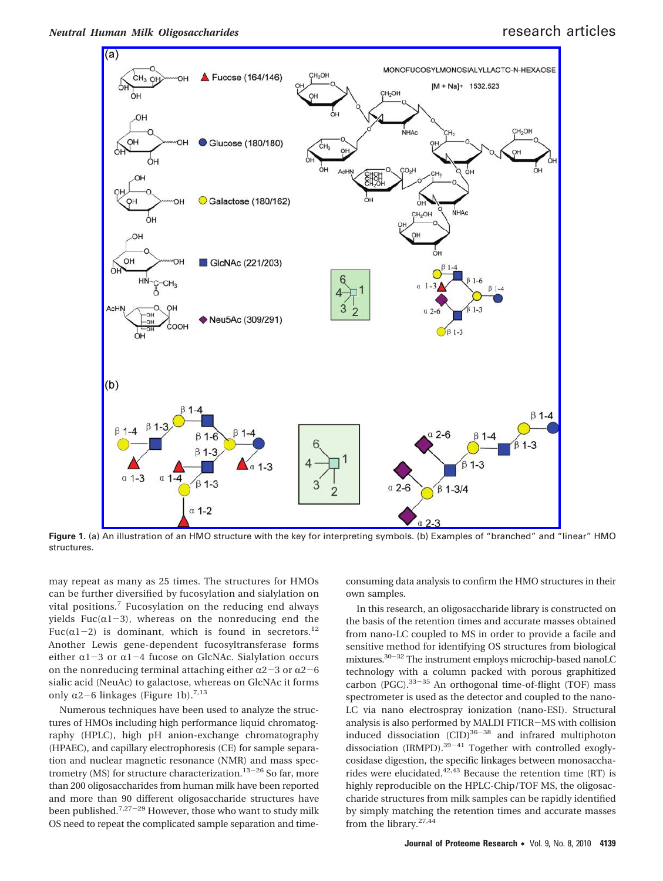

**Figure 1.** (a) An illustration of an HMO structure with the key for interpreting symbols. (b) Examples of "branched" and "linear" HMO structures.

may repeat as many as 25 times. The structures for HMOs can be further diversified by fucosylation and sialylation on vital positions.<sup>7</sup> Fucosylation on the reducing end always yields Fuc( $\alpha$ 1-3), whereas on the nonreducing end the Fuc( $\alpha$ 1-2) is dominant, which is found in secretors.<sup>12</sup> Another Lewis gene-dependent fucosyltransferase forms either  $\alpha$ 1-3 or  $\alpha$ 1-4 fucose on GlcNAc. Sialylation occurs on the nonreducing terminal attaching either  $\alpha$ 2-3 or  $\alpha$ 2-6 sialic acid (NeuAc) to galactose, whereas on GlcNAc it forms only  $\alpha$ 2-6 linkages (Figure 1b).<sup>7,13</sup>

Numerous techniques have been used to analyze the structures of HMOs including high performance liquid chromatography (HPLC), high pH anion-exchange chromatography (HPAEC), and capillary electrophoresis (CE) for sample separation and nuclear magnetic resonance (NMR) and mass spectrometry (MS) for structure characterization.<sup>13-26</sup> So far, more than 200 oligosaccharides from human milk have been reported and more than 90 different oligosaccharide structures have been published.<sup>7,27-29</sup> However, those who want to study milk OS need to repeat the complicated sample separation and timeconsuming data analysis to confirm the HMO structures in their own samples.

In this research, an oligosaccharide library is constructed on the basis of the retention times and accurate masses obtained from nano-LC coupled to MS in order to provide a facile and sensitive method for identifying OS structures from biological mixtures.30-<sup>32</sup> The instrument employs microchip-based nanoLC technology with a column packed with porous graphitized carbon  $(PGC)$ .<sup>33-35</sup> An orthogonal time-of-flight (TOF) mass spectrometer is used as the detector and coupled to the nano-LC via nano electrospray ionization (nano-ESI). Structural analysis is also performed by MALDI FTICR-MS with collision induced dissociation  $(CID)^{36-38}$  and infrared multiphoton dissociation (IRMPD). $39-41$  Together with controlled exoglycosidase digestion, the specific linkages between monosaccharides were elucidated.<sup>42,43</sup> Because the retention time (RT) is highly reproducible on the HPLC-Chip/TOF MS, the oligosaccharide structures from milk samples can be rapidly identified by simply matching the retention times and accurate masses from the library.<sup>27,44</sup>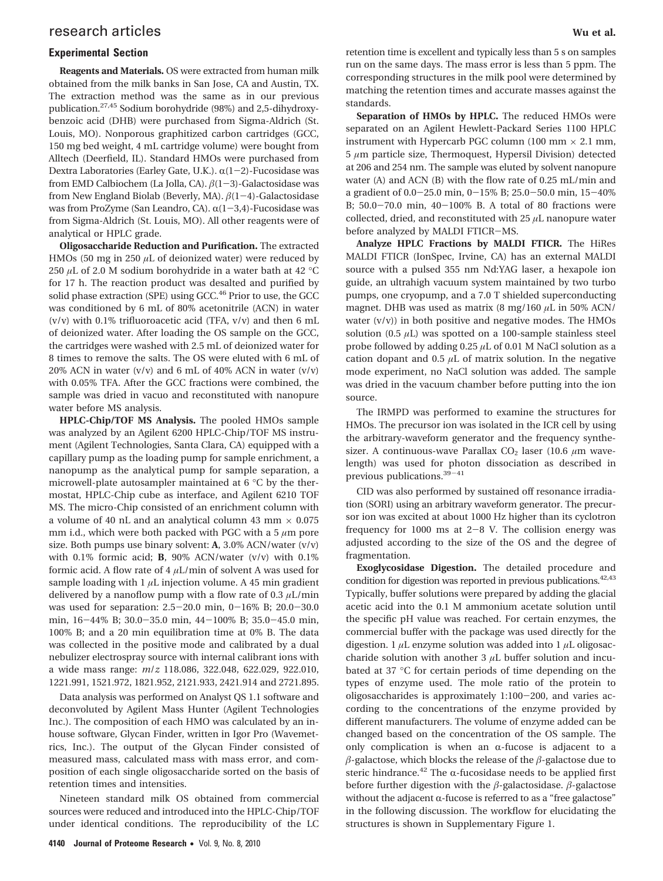## research articles **Wu et al.**

### **Experimental Section**

**Reagents and Materials.** OS were extracted from human milk obtained from the milk banks in San Jose, CA and Austin, TX. The extraction method was the same as in our previous publication.27,45 Sodium borohydride (98%) and 2,5-dihydroxybenzoic acid (DHB) were purchased from Sigma-Aldrich (St. Louis, MO). Nonporous graphitized carbon cartridges (GCC, 150 mg bed weight, 4 mL cartridge volume) were bought from Alltech (Deerfield, IL). Standard HMOs were purchased from Dextra Laboratories (Earley Gate, U.K.).  $\alpha(1-2)$ -Fucosidase was from EMD Calbiochem (La Jolla, CA).  $\beta(1-3)$ -Galactosidase was from New England Biolab (Beverly, MA).  $\beta(1-4)$ -Galactosidase was from ProZyme (San Leandro, CA).  $\alpha(1-3,4)$ -Fucosidase was from Sigma-Aldrich (St. Louis, MO). All other reagents were of analytical or HPLC grade.

**Oligosaccharide Reduction and Purification.** The extracted HMOs (50 mg in 250 *µ*L of deionized water) were reduced by 250 *µ*L of 2.0 M sodium borohydride in a water bath at 42 °C for 17 h. The reaction product was desalted and purified by solid phase extraction (SPE) using GCC.<sup>46</sup> Prior to use, the GCC was conditioned by 6 mL of 80% acetonitrile (ACN) in water (v/v) with 0.1% trifluoroacetic acid (TFA, v/v) and then 6 mL of deionized water. After loading the OS sample on the GCC, the cartridges were washed with 2.5 mL of deionized water for 8 times to remove the salts. The OS were eluted with 6 mL of 20% ACN in water  $(v/v)$  and 6 mL of 40% ACN in water  $(v/v)$ with 0.05% TFA. After the GCC fractions were combined, the sample was dried in vacuo and reconstituted with nanopure water before MS analysis.

**HPLC-Chip/TOF MS Analysis.** The pooled HMOs sample was analyzed by an Agilent 6200 HPLC-Chip/TOF MS instrument (Agilent Technologies, Santa Clara, CA) equipped with a capillary pump as the loading pump for sample enrichment, a nanopump as the analytical pump for sample separation, a microwell-plate autosampler maintained at 6 °C by the thermostat, HPLC-Chip cube as interface, and Agilent 6210 TOF MS. The micro-Chip consisted of an enrichment column with a volume of 40 nL and an analytical column 43 mm  $\times$  0.075 mm i.d., which were both packed with PGC with a 5 *µ*m pore size. Both pumps use binary solvent: **A**, 3.0% ACN/water (v/v) with 0.1% formic acid; **B**, 90% ACN/water (v/v) with 0.1% formic acid. A flow rate of 4 *µ*L/min of solvent A was used for sample loading with  $1 \mu$ L injection volume. A 45 min gradient delivered by a nanoflow pump with a flow rate of 0.3 *µ*L/min was used for separation: 2.5-20.0 min, 0-16% B; 20.0-30.0 min, 16-44% B; 30.0-35.0 min, 44-100% B; 35.0-45.0 min, 100% B; and a 20 min equilibration time at 0% B. The data was collected in the positive mode and calibrated by a dual nebulizer electrospray source with internal calibrant ions with a wide mass range: *m*/*z* 118.086, 322.048, 622.029, 922.010, 1221.991, 1521.972, 1821.952, 2121.933, 2421.914 and 2721.895.

Data analysis was performed on Analyst QS 1.1 software and deconvoluted by Agilent Mass Hunter (Agilent Technologies Inc.). The composition of each HMO was calculated by an inhouse software, Glycan Finder, written in Igor Pro (Wavemetrics, Inc.). The output of the Glycan Finder consisted of measured mass, calculated mass with mass error, and composition of each single oligosaccharide sorted on the basis of retention times and intensities.

Nineteen standard milk OS obtained from commercial sources were reduced and introduced into the HPLC-Chip/TOF under identical conditions. The reproducibility of the LC

retention time is excellent and typically less than 5 s on samples run on the same days. The mass error is less than 5 ppm. The corresponding structures in the milk pool were determined by matching the retention times and accurate masses against the standards.

**Separation of HMOs by HPLC.** The reduced HMOs were separated on an Agilent Hewlett-Packard Series 1100 HPLC instrument with Hypercarb PGC column (100 mm  $\times$  2.1 mm, 5 *µ*m particle size, Thermoquest, Hypersil Division) detected at 206 and 254 nm. The sample was eluted by solvent nanopure water (A) and ACN (B) with the flow rate of 0.25 mL/min and a gradient of 0.0-25.0 min, 0-15% B; 25.0-50.0 min, 15-40% B; 50.0-70.0 min, 40-100% B. A total of 80 fractions were collected, dried, and reconstituted with  $25 \mu L$  nanopure water before analyzed by MALDI FTICR-MS.

**Analyze HPLC Fractions by MALDI FTICR.** The HiRes MALDI FTICR (IonSpec, Irvine, CA) has an external MALDI source with a pulsed 355 nm Nd:YAG laser, a hexapole ion guide, an ultrahigh vacuum system maintained by two turbo pumps, one cryopump, and a 7.0 T shielded superconducting magnet. DHB was used as matrix (8 mg/160 *µ*L in 50% ACN/ water (v/v)) in both positive and negative modes. The HMOs solution (0.5  $\mu$ L) was spotted on a 100-sample stainless steel probe followed by adding 0.25 *µ*L of 0.01 M NaCl solution as a cation dopant and  $0.5 \mu L$  of matrix solution. In the negative mode experiment, no NaCl solution was added. The sample was dried in the vacuum chamber before putting into the ion source.

The IRMPD was performed to examine the structures for HMOs. The precursor ion was isolated in the ICR cell by using the arbitrary-waveform generator and the frequency synthesizer. A continuous-wave Parallax CO<sub>2</sub> laser (10.6 μm wavelength) was used for photon dissociation as described in previous publications.39-<sup>41</sup>

CID was also performed by sustained off resonance irradiation (SORI) using an arbitrary waveform generator. The precursor ion was excited at about 1000 Hz higher than its cyclotron frequency for 1000 ms at 2-8 V. The collision energy was adjusted according to the size of the OS and the degree of fragmentation.

**Exoglycosidase Digestion.** The detailed procedure and condition for digestion was reported in previous publications.<sup>42,43</sup> Typically, buffer solutions were prepared by adding the glacial acetic acid into the 0.1 M ammonium acetate solution until the specific pH value was reached. For certain enzymes, the commercial buffer with the package was used directly for the digestion. 1 *µ*L enzyme solution was added into 1 *µ*L oligosaccharide solution with another 3 *µ*L buffer solution and incubated at 37 °C for certain periods of time depending on the types of enzyme used. The mole ratio of the protein to oligosaccharides is approximately 1:100-200, and varies according to the concentrations of the enzyme provided by different manufacturers. The volume of enzyme added can be changed based on the concentration of the OS sample. The only complication is when an  $\alpha$ -fucose is adjacent to a  $\beta$ -galactose, which blocks the release of the  $\beta$ -galactose due to steric hindrance.<sup>42</sup> The  $\alpha$ -fucosidase needs to be applied first before further digestion with the  $\beta$ -galactosidase.  $\beta$ -galactose without the adjacent  $\alpha$ -fucose is referred to as a "free galactose" in the following discussion. The workflow for elucidating the structures is shown in Supplementary Figure 1.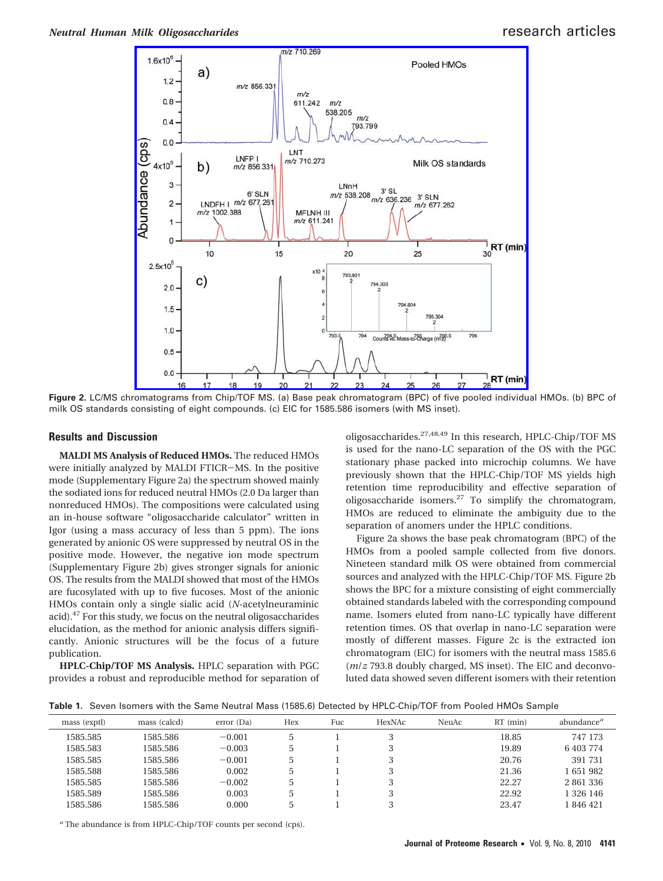

**Figure 2.** LC/MS chromatograms from Chip/TOF MS. (a) Base peak chromatogram (BPC) of five pooled individual HMOs. (b) BPC of milk OS standards consisting of eight compounds. (c) EIC for 1585.586 isomers (with MS inset).

### **Results and Discussion**

**MALDI MS Analysis of Reduced HMOs.** The reduced HMOs were initially analyzed by MALDI FTICR-MS. In the positive mode (Supplementary Figure 2a) the spectrum showed mainly the sodiated ions for reduced neutral HMOs (2.0 Da larger than nonreduced HMOs). The compositions were calculated using an in-house software "oligosaccharide calculator" written in Igor (using a mass accuracy of less than 5 ppm). The ions generated by anionic OS were suppressed by neutral OS in the positive mode. However, the negative ion mode spectrum (Supplementary Figure 2b) gives stronger signals for anionic OS. The results from the MALDI showed that most of the HMOs are fucosylated with up to five fucoses. Most of the anionic HMOs contain only a single sialic acid (*N*-acetylneuraminic acid).47 For this study, we focus on the neutral oligosaccharides elucidation, as the method for anionic analysis differs significantly. Anionic structures will be the focus of a future publication.

**HPLC-Chip/TOF MS Analysis.** HPLC separation with PGC provides a robust and reproducible method for separation of oligosaccharides.27,48,49 In this research, HPLC-Chip/TOF MS is used for the nano-LC separation of the OS with the PGC stationary phase packed into microchip columns. We have previously shown that the HPLC-Chip/TOF MS yields high retention time reproducibility and effective separation of oligosaccharide isomers. $27$  To simplify the chromatogram, HMOs are reduced to eliminate the ambiguity due to the separation of anomers under the HPLC conditions.

Figure 2a shows the base peak chromatogram (BPC) of the HMOs from a pooled sample collected from five donors. Nineteen standard milk OS were obtained from commercial sources and analyzed with the HPLC-Chip/TOF MS. Figure 2b shows the BPC for a mixture consisting of eight commercially obtained standards labeled with the corresponding compound name. Isomers eluted from nano-LC typically have different retention times. OS that overlap in nano-LC separation were mostly of different masses. Figure 2c is the extracted ion chromatogram (EIC) for isomers with the neutral mass 1585.6 (*m*/*z* 793.8 doubly charged, MS inset). The EIC and deconvoluted data showed seven different isomers with their retention

|  |  |  |  |  | Table 1. Seven Isomers with the Same Neutral Mass (1585.6) Detected by HPLC-Chip/TOF from Pooled HMOs Sample |  |
|--|--|--|--|--|--------------------------------------------------------------------------------------------------------------|--|
|--|--|--|--|--|--------------------------------------------------------------------------------------------------------------|--|

| mass (exptl) | mass (calcd) | error (Da) | Hex | Fuc | HexNAc | NeuAc | $RT$ (min) | abundance <sup><i>a</i></sup> |
|--------------|--------------|------------|-----|-----|--------|-------|------------|-------------------------------|
| 1585.585     | 1585.586     | $-0.001$   | b.  |     |        |       | 18.85      | 747 173                       |
| 1585.583     | 1585.586     | $-0.003$   | b.  |     |        |       | 19.89      | 6 403 774                     |
| 1585.585     | 1585.586     | $-0.001$   | b.  |     |        |       | 20.76      | 391 731                       |
| 1585.588     | 1585.586     | 0.002      | b.  |     |        |       | 21.36      | 1 651 982                     |
| 1585.585     | 1585.586     | $-0.002$   | b.  |     | 3      |       | 22.27      | 2 861 336                     |
| 1585.589     | 1585.586     | 0.003      | 5.  |     |        |       | 22.92      | 1 326 146                     |
| 1585.586     | 1585.586     | 0.000      | h.  |     |        |       | 23.47      | 1 846 421                     |
|              |              |            |     |     |        |       |            |                               |

*<sup>a</sup>* The abundance is from HPLC-Chip/TOF counts per second (cps).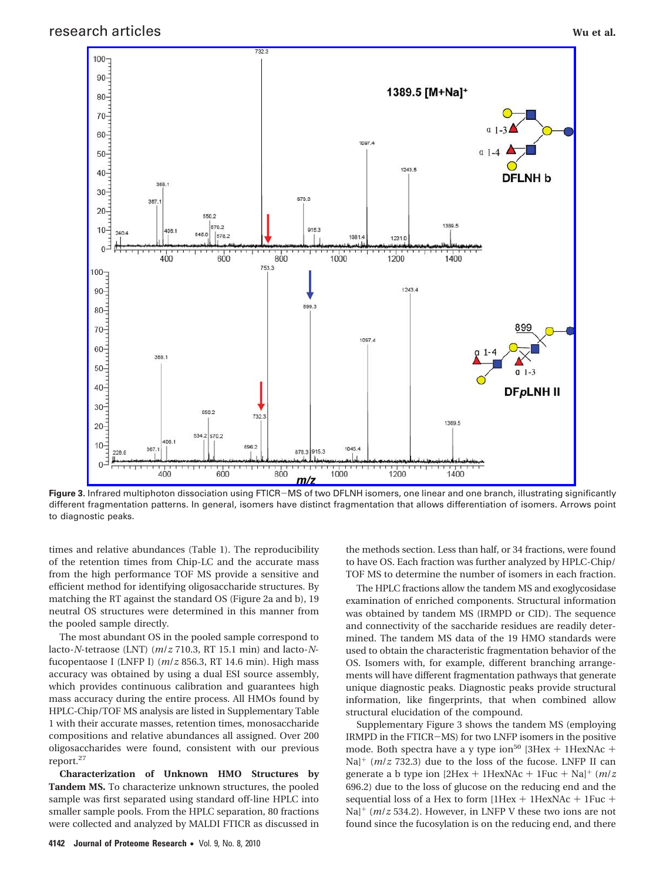

**Figure 3.** Infrared multiphoton dissociation using FTICR-MS of two DFLNH isomers, one linear and one branch, illustrating significantly different fragmentation patterns. In general, isomers have distinct fragmentation that allows differentiation of isomers. Arrows point to diagnostic peaks.

times and relative abundances (Table 1). The reproducibility of the retention times from Chip-LC and the accurate mass from the high performance TOF MS provide a sensitive and efficient method for identifying oligosaccharide structures. By matching the RT against the standard OS (Figure 2a and b), 19 neutral OS structures were determined in this manner from the pooled sample directly.

The most abundant OS in the pooled sample correspond to lacto-*N*-tetraose (LNT) (*m*/*z* 710.3, RT 15.1 min) and lacto-*N*fucopentaose I (LNFP I) (*m*/*z* 856.3, RT 14.6 min). High mass accuracy was obtained by using a dual ESI source assembly, which provides continuous calibration and guarantees high mass accuracy during the entire process. All HMOs found by HPLC-Chip/TOF MS analysis are listed in Supplementary Table 1 with their accurate masses, retention times, monosaccharide compositions and relative abundances all assigned. Over 200 oligosaccharides were found, consistent with our previous report.<sup>27</sup>

**Characterization of Unknown HMO Structures by Tandem MS.** To characterize unknown structures, the pooled sample was first separated using standard off-line HPLC into smaller sample pools. From the HPLC separation, 80 fractions were collected and analyzed by MALDI FTICR as discussed in

the methods section. Less than half, or 34 fractions, were found to have OS. Each fraction was further analyzed by HPLC-Chip/ TOF MS to determine the number of isomers in each fraction.

The HPLC fractions allow the tandem MS and exoglycosidase examination of enriched components. Structural information was obtained by tandem MS (IRMPD or CID). The sequence and connectivity of the saccharide residues are readily determined. The tandem MS data of the 19 HMO standards were used to obtain the characteristic fragmentation behavior of the OS. Isomers with, for example, different branching arrangements will have different fragmentation pathways that generate unique diagnostic peaks. Diagnostic peaks provide structural information, like fingerprints, that when combined allow structural elucidation of the compound.

Supplementary Figure 3 shows the tandem MS (employing IRMPD in the FTICR-MS) for two LNFP isomers in the positive mode. Both spectra have a y type ion<sup>50</sup> [3Hex + 1HexNAc + Na]<sup>+</sup> (*m*/*z* 732.3) due to the loss of the fucose. LNFP II can generate a b type ion  $[2$ Hex + 1HexNAc + 1Fuc + Na]<sup>+</sup> ( $m/z$ ) 696.2) due to the loss of glucose on the reducing end and the sequential loss of a Hex to form  $1$ Hex + 1HexNAc + 1Fuc + Na]<sup>+</sup> (*m*/*z* 534.2). However, in LNFP V these two ions are not found since the fucosylation is on the reducing end, and there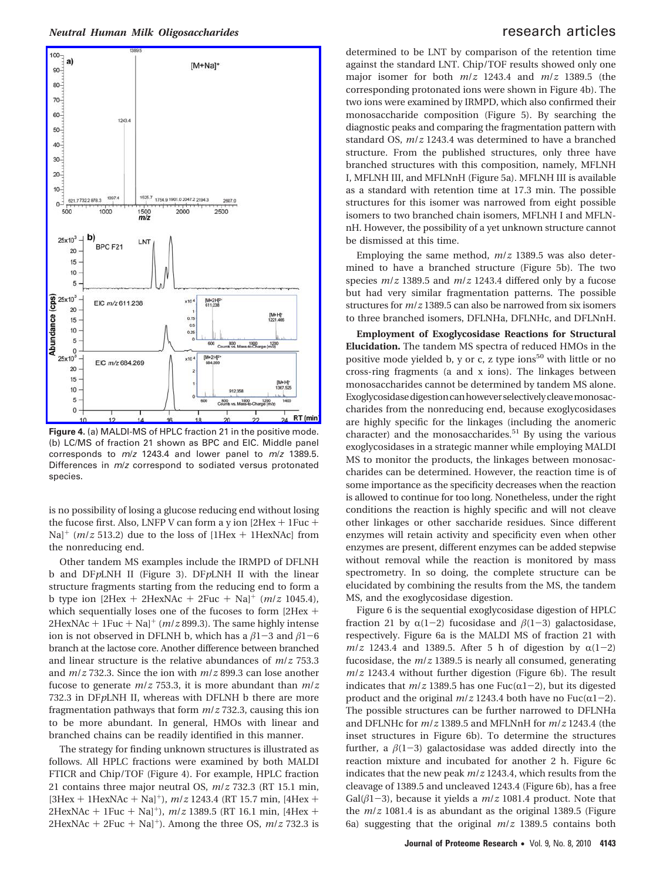### *Neutral Human Milk Oligosaccharides* research articles



**Figure 4.** (a) MALDI-MS of HPLC fraction 21 in the positive mode. (b) LC/MS of fraction 21 shown as BPC and EIC. Middle panel corresponds to *m*/*z* 1243.4 and lower panel to *m*/*z* 1389.5. Differences in *m*/*z* correspond to sodiated versus protonated species.

is no possibility of losing a glucose reducing end without losing the fucose first. Also, LNFP V can form a y ion  $[2$ Hex + 1Fuc + Na<sup> $+$ </sup> (*m*/*z* 513.2) due to the loss of [1Hex + 1HexNAc] from the nonreducing end.

Other tandem MS examples include the IRMPD of DFLNH b and DF*p*LNH II (Figure 3). DF*p*LNH II with the linear structure fragments starting from the reducing end to form a b type ion  $[2$ Hex +  $2$ HexNAc +  $2$ Fuc + Na]<sup>+</sup> (*m*/*z* 1045.4), which sequentially loses one of the fucoses to form [2Hex +  $2$ HexNAc + 1Fuc + Na<sup>+</sup> ( $m/z$  899.3). The same highly intense ion is not observed in DFLNH b, which has a  $\beta$ 1-3 and  $\beta$ 1-6 branch at the lactose core. Another difference between branched and linear structure is the relative abundances of *m*/*z* 753.3 and *m*/*z* 732.3. Since the ion with *m*/*z* 899.3 can lose another fucose to generate *m*/*z* 753.3, it is more abundant than *m*/*z* 732.3 in DF*p*LNH II, whereas with DFLNH b there are more fragmentation pathways that form *m*/*z* 732.3, causing this ion to be more abundant. In general, HMOs with linear and branched chains can be readily identified in this manner.

The strategy for finding unknown structures is illustrated as follows. All HPLC fractions were examined by both MALDI FTICR and Chip/TOF (Figure 4). For example, HPLC fraction 21 contains three major neutral OS, *m*/*z* 732.3 (RT 15.1 min,  $[3$ Hex + 1HexNAc + Na]<sup>+</sup>),  $m/z$  1243.4 (RT 15.7 min, [4Hex + 2HexNAc <sup>+</sup> 1Fuc <sup>+</sup> Na]+), *<sup>m</sup>*/*<sup>z</sup>* 1389.5 (RT 16.1 min, [4Hex + 2HexNAc + 2Fuc + Na]<sup>+</sup>). Among the three OS,  $m/z$  732.3 is determined to be LNT by comparison of the retention time against the standard LNT. Chip/TOF results showed only one major isomer for both *m*/*z* 1243.4 and *m*/*z* 1389.5 (the corresponding protonated ions were shown in Figure 4b). The two ions were examined by IRMPD, which also confirmed their monosaccharide composition (Figure 5). By searching the diagnostic peaks and comparing the fragmentation pattern with standard OS, *m*/*z* 1243.4 was determined to have a branched structure. From the published structures, only three have branched structures with this composition, namely, MFLNH I, MFLNH III, and MFLNnH (Figure 5a). MFLNH III is available as a standard with retention time at 17.3 min. The possible structures for this isomer was narrowed from eight possible isomers to two branched chain isomers, MFLNH I and MFLNnH. However, the possibility of a yet unknown structure cannot be dismissed at this time.

Employing the same method, *m*/*z* 1389.5 was also determined to have a branched structure (Figure 5b). The two species *m*/*z* 1389.5 and *m*/*z* 1243.4 differed only by a fucose but had very similar fragmentation patterns. The possible structures for *m*/*z* 1389.5 can also be narrowed from six isomers to three branched isomers, DFLNHa, DFLNHc, and DFLNnH.

**Employment of Exoglycosidase Reactions for Structural Elucidation.** The tandem MS spectra of reduced HMOs in the positive mode yielded b, y or c, z type ions<sup>50</sup> with little or no cross-ring fragments (a and x ions). The linkages between monosaccharides cannot be determined by tandem MS alone. Exoglycosidasedigestioncanhoweverselectivelycleavemonosaccharides from the nonreducing end, because exoglycosidases are highly specific for the linkages (including the anomeric character) and the monosaccharides.<sup>51</sup> By using the various exoglycosidases in a strategic manner while employing MALDI MS to monitor the products, the linkages between monosaccharides can be determined. However, the reaction time is of some importance as the specificity decreases when the reaction is allowed to continue for too long. Nonetheless, under the right conditions the reaction is highly specific and will not cleave other linkages or other saccharide residues. Since different enzymes will retain activity and specificity even when other enzymes are present, different enzymes can be added stepwise without removal while the reaction is monitored by mass spectrometry. In so doing, the complete structure can be elucidated by combining the results from the MS, the tandem MS, and the exoglycosidase digestion.

Figure 6 is the sequential exoglycosidase digestion of HPLC fraction 21 by  $\alpha(1-2)$  fucosidase and  $\beta(1-3)$  galactosidase, respectively. Figure 6a is the MALDI MS of fraction 21 with  $m/z$  1243.4 and 1389.5. After 5 h of digestion by  $\alpha(1-2)$ fucosidase, the *m*/*z* 1389.5 is nearly all consumed, generating *m*/*z* 1243.4 without further digestion (Figure 6b). The result indicates that  $m/z$  1389.5 has one Fuc( $\alpha$ 1-2), but its digested product and the original  $m/z$  1243.4 both have no Fuc( $\alpha$ 1-2). The possible structures can be further narrowed to DFLNHa and DFLNHc for *m*/*z* 1389.5 and MFLNnH for *m*/*z* 1243.4 (the inset structures in Figure 6b). To determine the structures further, a  $\beta(1-3)$  galactosidase was added directly into the reaction mixture and incubated for another 2 h. Figure 6c indicates that the new peak *m*/*z* 1243.4, which results from the cleavage of 1389.5 and uncleaved 1243.4 (Figure 6b), has a free Gal( $\beta$ 1-3), because it yields a  $m/z$  1081.4 product. Note that the *m*/*z* 1081.4 is as abundant as the original 1389.5 (Figure 6a) suggesting that the original *m*/*z* 1389.5 contains both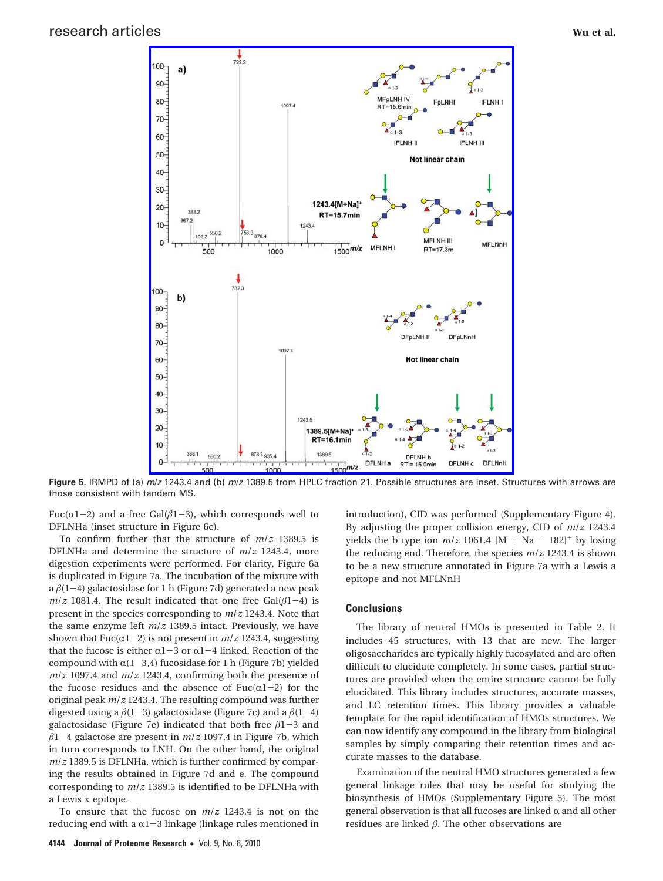

**Figure 5.** IRMPD of (a) *m*/*z* 1243.4 and (b) *m*/*z* 1389.5 from HPLC fraction 21. Possible structures are inset. Structures with arrows are those consistent with tandem MS.

Fuc( $\alpha$ 1-2) and a free Gal( $\beta$ 1-3), which corresponds well to DFLNHa (inset structure in Figure 6c).

To confirm further that the structure of *m*/*z* 1389.5 is DFLNHa and determine the structure of *m*/*z* 1243.4, more digestion experiments were performed. For clarity, Figure 6a is duplicated in Figure 7a. The incubation of the mixture with a  $\beta(1-4)$  galactosidase for 1 h (Figure 7d) generated a new peak  $m/z$  1081.4. The result indicated that one free Gal( $\beta$ 1-4) is present in the species corresponding to *m*/*z* 1243.4. Note that the same enzyme left *m*/*z* 1389.5 intact. Previously, we have shown that Fuc( $\alpha$ 1-2) is not present in  $m/z$  1243.4, suggesting that the fucose is either  $\alpha$ 1-3 or  $\alpha$ 1-4 linked. Reaction of the compound with  $\alpha(1-3,4)$  fucosidase for 1 h (Figure 7b) yielded *m*/*z* 1097.4 and *m*/*z* 1243.4, confirming both the presence of the fucose residues and the absence of  $Fuc(\alpha 1-2)$  for the original peak *m*/*z* 1243.4. The resulting compound was further digested using a  $\beta(1-3)$  galactosidase (Figure 7c) and a  $\beta(1-4)$ galactosidase (Figure 7e) indicated that both free  $\beta$ 1-3 and  $\beta$ 1-4 galactose are present in  $m/z$  1097.4 in Figure 7b, which in turn corresponds to LNH. On the other hand, the original *m*/*z* 1389.5 is DFLNHa, which is further confirmed by comparing the results obtained in Figure 7d and e. The compound corresponding to *m*/*z* 1389.5 is identified to be DFLNHa with a Lewis x epitope.

To ensure that the fucose on *m*/*z* 1243.4 is not on the reducing end with a  $\alpha$ 1-3 linkage (linkage rules mentioned in introduction), CID was performed (Supplementary Figure 4). By adjusting the proper collision energy, CID of *m*/*z* 1243.4 yields the b type ion  $m/z$  1061.4  $[M + Na - 182]^+$  by losing the reducing end. Therefore, the species *m*/*z* 1243.4 is shown to be a new structure annotated in Figure 7a with a Lewis a epitope and not MFLNnH

### **Conclusions**

The library of neutral HMOs is presented in Table 2. It includes 45 structures, with 13 that are new. The larger oligosaccharides are typically highly fucosylated and are often difficult to elucidate completely. In some cases, partial structures are provided when the entire structure cannot be fully elucidated. This library includes structures, accurate masses, and LC retention times. This library provides a valuable template for the rapid identification of HMOs structures. We can now identify any compound in the library from biological samples by simply comparing their retention times and accurate masses to the database.

Examination of the neutral HMO structures generated a few general linkage rules that may be useful for studying the biosynthesis of HMOs (Supplementary Figure 5). The most general observation is that all fucoses are linked  $\alpha$  and all other residues are linked  $\beta$ . The other observations are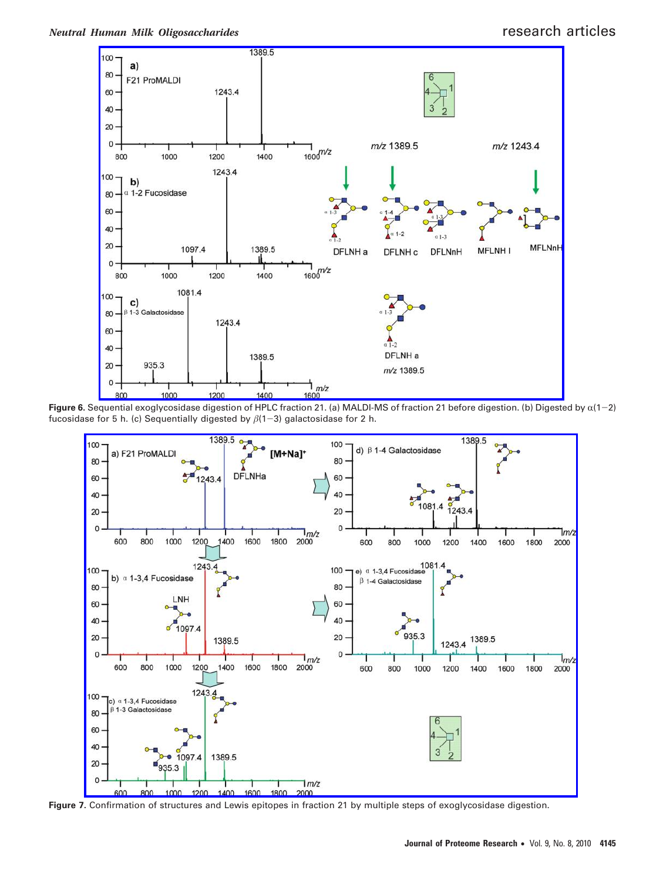

**Figure 6.** Sequential exoglycosidase digestion of HPLC fraction 21. (a) MALDI-MS of fraction 21 before digestion. (b) Digested by  $\alpha(1-2)$ fucosidase for 5 h. (c) Sequentially digested by  $\beta(1-3)$  galactosidase for 2 h.



**Figure 7.** Confirmation of structures and Lewis epitopes in fraction 21 by multiple steps of exoglycosidase digestion.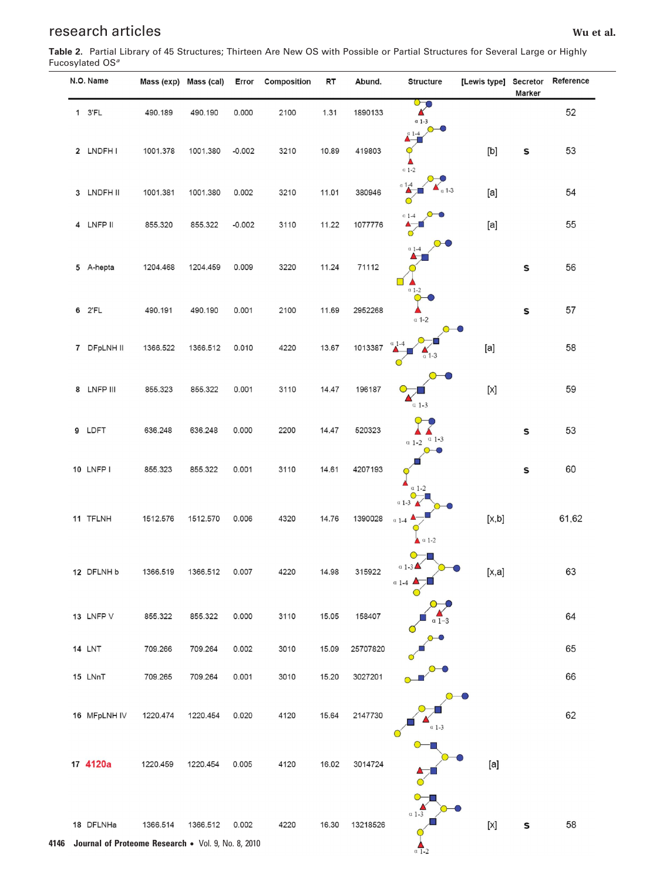# research articles **Wu et al. Wu et al. Wu et al. Wu et al. Wu et al. Wu et al.**

**Table 2.** Partial Library of 45 Structures; Thirteen Are New OS with Possible or Partial Structures for Several Large or Highly Fucosylated OS*<sup>a</sup>*

|      | N.O. Name                                          | Mass (exp) Mass (cal) |          |          | Error Composition | RT    | Abund.   | <b>Structure</b>                             | [Lewis type] Secretor                                                                                                                                                                                                                                                                                                                                                                                                                                                                                                                                                                                                                                                                                                                                                                                                                                                                                                                                                                                                                                                                                                                      | Marker | Reference |
|------|----------------------------------------------------|-----------------------|----------|----------|-------------------|-------|----------|----------------------------------------------|--------------------------------------------------------------------------------------------------------------------------------------------------------------------------------------------------------------------------------------------------------------------------------------------------------------------------------------------------------------------------------------------------------------------------------------------------------------------------------------------------------------------------------------------------------------------------------------------------------------------------------------------------------------------------------------------------------------------------------------------------------------------------------------------------------------------------------------------------------------------------------------------------------------------------------------------------------------------------------------------------------------------------------------------------------------------------------------------------------------------------------------------|--------|-----------|
|      | 1 3'FL                                             | 490.189               | 490.190  | 0.000    | 2100              | 1.31  | 1890133  | $a$ 1-3<br>O                                 |                                                                                                                                                                                                                                                                                                                                                                                                                                                                                                                                                                                                                                                                                                                                                                                                                                                                                                                                                                                                                                                                                                                                            |        | 52        |
|      | 2 LNDFH I                                          | 1001.378              | 1001.380 | $-0.002$ | 3210              | 10.89 | 419803   | $\alpha$ 1-4<br>$\alpha$ 1-2                 | [b]                                                                                                                                                                                                                                                                                                                                                                                                                                                                                                                                                                                                                                                                                                                                                                                                                                                                                                                                                                                                                                                                                                                                        | S      | 53        |
|      | 3 LNDFH II                                         | 1001.381              | 1001.380 | 0.002    | 3210              | 11.01 | 380946   | $a \frac{1}{2}$<br>$a 1-3$                   | $[a] % \begin{center} % \includegraphics[width=\linewidth]{imagesSupplemental_3.png} % \end{center} % \caption { % \textit{DefNet} and \textit{DefNet}~\textit{DefNet}~\textit{DefNet}~\textit{DefNet}~\textit{DefNet}~\textit{DefNet}~\textit{DefNet}~\textit{DefNet}~\textit{DefNet}~\textit{DefNet}~\textit{DefNet}~\textit{DefNet}~\textit{DefNet}~\textit{DefNet}~\textit{DefNet}~\textit{DefNet}~\textit{DefNet}~\textit{DefNet}~\textit{DefNet}~\textit{DefNet}~\textit{DefNet}~\textit{DefNet}$                                                                                                                                                                                                                                                                                                                                                                                                                                                                                                                                                                                                                                    |        | 54        |
|      | 4 LNFP II                                          | 855.320               | 855.322  | $-0.002$ | 3110              | 11.22 | 1077776  | $a$ 1-4<br>$\overline{\bullet}$              | $[{\sf a}]$                                                                                                                                                                                                                                                                                                                                                                                                                                                                                                                                                                                                                                                                                                                                                                                                                                                                                                                                                                                                                                                                                                                                |        | 55        |
|      | 5 A-hepta                                          | 1204.468              | 1204.459 | 0.009    | 3220              | 11.24 | 71112    | OЮ<br>$a$ 1-4<br>$a$ 1-2                     |                                                                                                                                                                                                                                                                                                                                                                                                                                                                                                                                                                                                                                                                                                                                                                                                                                                                                                                                                                                                                                                                                                                                            | s      | 56        |
|      | 6 2'FL                                             | 490.191               | 490.190  | 0.001    | 2100              | 11.69 | 2952268  | $\alpha$ 1-2                                 |                                                                                                                                                                                                                                                                                                                                                                                                                                                                                                                                                                                                                                                                                                                                                                                                                                                                                                                                                                                                                                                                                                                                            | s      | 57        |
|      | 7 DFpLNH II                                        | 1366.522              | 1366.512 | 0.010    | 4220              | 13.67 | 1013387  | $\frac{1}{a}$ 1-3                            | $[{\sf a}]$                                                                                                                                                                                                                                                                                                                                                                                                                                                                                                                                                                                                                                                                                                                                                                                                                                                                                                                                                                                                                                                                                                                                |        | 58        |
|      | 8 LNFP III                                         | 855.323               | 855.322  | 0.001    | 3110              | 14.47 | 196187   | $a$ 1-3                                      | $\left[ \mathsf{X}\right] % \begin{center} \includegraphics[width=\linewidth]{imagesSupplemental_3.png} \end{center} % \vspace{-1em} \caption{The first two two two different values of the two different values of the same parameters. The first two different values of the two different values of the same parameters. The first two different values of the same parameters. The second two different values of the same parameters. The second two different values of the same parameters. The second two different values of the same parameters. The second two different values of the same parameters. The second two different values of the same parameters. The second two different values of the same parameters. The second two different values of the same parameters. The second two different values of the same parameters. The second two different values of the same parameters. The second two different values of the same parameters. The second two different values of the same parameters. The second two different values of the same parameters. The second two different values of the same parameters$ |        | 59        |
|      | 9 LDFT                                             | 636.248               | 636.248  | 0.000    | 2200              | 14.47 | 520323   | $a$ 1-2 $a$ 1-3                              |                                                                                                                                                                                                                                                                                                                                                                                                                                                                                                                                                                                                                                                                                                                                                                                                                                                                                                                                                                                                                                                                                                                                            | s      | 53        |
|      | 10 LNFP I                                          | 855.323               | 855.322  | 0.001    | 3110              | 14.61 | 4207193  | $a$ 1-2                                      |                                                                                                                                                                                                                                                                                                                                                                                                                                                                                                                                                                                                                                                                                                                                                                                                                                                                                                                                                                                                                                                                                                                                            | s      | 60        |
|      | 11 TFLNH                                           | 1512.576              | 1512.570 | 0.006    | 4320              | 14.76 | 1390028  | $a$ 1-3<br>$\alpha$ 1-4<br>$\triangle$ a 1-2 | [X,b]                                                                                                                                                                                                                                                                                                                                                                                                                                                                                                                                                                                                                                                                                                                                                                                                                                                                                                                                                                                                                                                                                                                                      |        | 61,62     |
|      | 12 DFLNH b                                         | 1366.519              | 1366.512 | 0.007    | 4220              | 14.98 | 315922   | $a$ 1-3 $\triangle$<br>$a$ 1-4 $\triangle$   | [x,a]                                                                                                                                                                                                                                                                                                                                                                                                                                                                                                                                                                                                                                                                                                                                                                                                                                                                                                                                                                                                                                                                                                                                      |        | 63        |
|      | 13 LNFP V                                          | 855.322               | 855.322  | 0.000    | 3110              | 15.05 | 158407   |                                              |                                                                                                                                                                                                                                                                                                                                                                                                                                                                                                                                                                                                                                                                                                                                                                                                                                                                                                                                                                                                                                                                                                                                            |        | 64        |
|      | <b>14 LNT</b>                                      | 709.266               | 709.264  | 0.002    | 3010              | 15.09 | 25707820 |                                              |                                                                                                                                                                                                                                                                                                                                                                                                                                                                                                                                                                                                                                                                                                                                                                                                                                                                                                                                                                                                                                                                                                                                            |        | 65        |
|      | 15 LNnT                                            | 709.265               | 709.264  | 0.001    | 3010              | 15.20 | 3027201  |                                              |                                                                                                                                                                                                                                                                                                                                                                                                                                                                                                                                                                                                                                                                                                                                                                                                                                                                                                                                                                                                                                                                                                                                            |        | 66        |
|      | 16 MFpLNH IV                                       | 1220.474              | 1220.454 | 0.020    | 4120              | 15.64 | 2147730  | $\alpha$ 1-3                                 |                                                                                                                                                                                                                                                                                                                                                                                                                                                                                                                                                                                                                                                                                                                                                                                                                                                                                                                                                                                                                                                                                                                                            |        | 62        |
|      | 17 4120a                                           | 1220.459              | 1220.454 | 0.005    | 4120              | 16.02 | 3014724  |                                              | $[{\tt a}]$                                                                                                                                                                                                                                                                                                                                                                                                                                                                                                                                                                                                                                                                                                                                                                                                                                                                                                                                                                                                                                                                                                                                |        |           |
|      | 18 DFLNHa                                          | 1366.514              | 1366.512 | 0.002    | 4220              | 16.30 | 13218526 | $a1-3$                                       | $[ \times ]$                                                                                                                                                                                                                                                                                                                                                                                                                                                                                                                                                                                                                                                                                                                                                                                                                                                                                                                                                                                                                                                                                                                               | S      | 58        |
| 4146 | Journal of Proteome Research . Vol. 9, No. 8, 2010 |                       |          |          |                   |       |          | $\frac{1}{a}$ 1-2                            |                                                                                                                                                                                                                                                                                                                                                                                                                                                                                                                                                                                                                                                                                                                                                                                                                                                                                                                                                                                                                                                                                                                                            |        |           |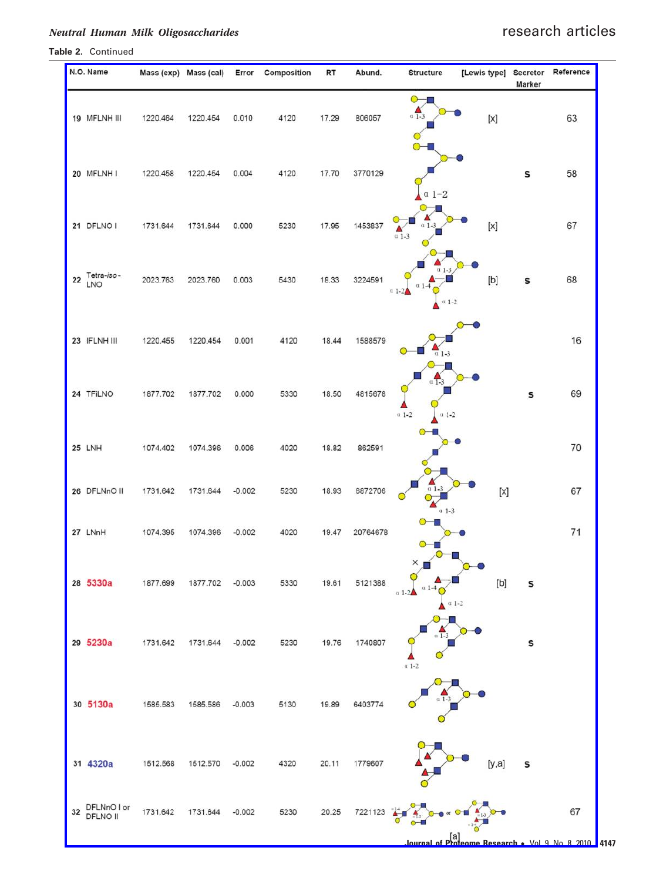# *Neutral Human Milk Oligosaccharides* research articles

**Table 2.** Continued

| N.O. Name                  |          | Mass (exp) Mass (cal) |          | Error Composition | RT    | Abund.   | <b>Structure</b>                                               | [Lewis type] Secretor Reference                                                                                                                                                                                                                                                                                                                                                                                                                                                                                                                                                                 | Marker |    |
|----------------------------|----------|-----------------------|----------|-------------------|-------|----------|----------------------------------------------------------------|-------------------------------------------------------------------------------------------------------------------------------------------------------------------------------------------------------------------------------------------------------------------------------------------------------------------------------------------------------------------------------------------------------------------------------------------------------------------------------------------------------------------------------------------------------------------------------------------------|--------|----|
| 19 MFLNH III               | 1220.464 | 1220.454              | 0.010    | 4120              | 17.29 | 806057   | ⊙<br>$a$ 1-3<br>O<br>$\circ$                                   | $[ \times ]$                                                                                                                                                                                                                                                                                                                                                                                                                                                                                                                                                                                    |        | 63 |
| 20 MFLNH I                 | 1220.458 | 1220.454              | 0.004    | 4120              | 17.70 | 3770129  | $\alpha$ 1–2                                                   |                                                                                                                                                                                                                                                                                                                                                                                                                                                                                                                                                                                                 | s      | 58 |
| 21 DFLNO I                 | 1731.644 | 1731.644              | 0.000    | 5230              | 17.95 | 1453837  | $a$ 1-3                                                        | $[ \times ]$                                                                                                                                                                                                                                                                                                                                                                                                                                                                                                                                                                                    |        | 67 |
| 22 Tetra-iso-<br>LNO       | 2023.763 | 2023.760              | 0.003    | 5430              | 18.33 | 3224591  | $a1-3$<br>$a1-4$<br>a1<br>$\alpha$ 1-2                         | $[b] \centering% \includegraphics[width=1.0\textwidth]{figs/fig_4.pdf} \caption{The 3D (top) and the 4D (bottom) of the 3D (bottom) of the 3D (bottom) of the 3D (bottom) of the 3D (bottom). The 3D (bottom) is the 3D (bottom).} \label{fig:1}$                                                                                                                                                                                                                                                                                                                                               | s      | 68 |
| 23 IFLNH III               | 1220.455 | 1220.454              | 0.001    | 4120              | 18.44 | 1588579  | $a$ 1-3                                                        |                                                                                                                                                                                                                                                                                                                                                                                                                                                                                                                                                                                                 |        | 16 |
| 24 TFILNO                  | 1877.702 | 1877.702              | 0.000    | 5330              | 18.50 | 4815678  | $\alpha$ 1-3<br>$\alpha$ 1-2<br>$a$ 1-2                        |                                                                                                                                                                                                                                                                                                                                                                                                                                                                                                                                                                                                 | s      | 69 |
| <b>25 LNH</b>              | 1074.402 | 1074.396              | 0.006    | 4020              | 18.82 | 862591   |                                                                |                                                                                                                                                                                                                                                                                                                                                                                                                                                                                                                                                                                                 |        | 70 |
| 26 DFLNnO II               | 1731.642 | 1731.644              | $-0.002$ | 5230              | 18.93 | 6872706  | $01 - 3$<br>$a$ 1-3                                            | $[ \times ]$                                                                                                                                                                                                                                                                                                                                                                                                                                                                                                                                                                                    |        | 67 |
| 27 LNnH                    | 1074.395 | 1074.396              | $-0.002$ | 4020              | 19.47 | 20764678 |                                                                |                                                                                                                                                                                                                                                                                                                                                                                                                                                                                                                                                                                                 |        | 71 |
| 28 5330a                   | 1877.699 | 1877.702              | $-0.003$ | 5330              | 19.61 | 5121388  | $a1-$<br>$a$ 1-2                                               | $[b] \centering% \includegraphics[width=1.0\textwidth]{figs/fig_4.pdf} \includegraphics[width=1.0\textwidth]{figs/fig_4.pdf} \includegraphics[width=1.0\textwidth]{figs/fig_4.pdf} \includegraphics[width=1.0\textwidth]{figs/fig_4.pdf} \includegraphics[width=1.0\textwidth]{figs/fig_4.pdf} \includegraphics[width=1.0\textwidth]{figs/fig_4.pdf} \includegraphics[width=1.0\textwidth]{figs/fig_4.pdf} \includegraphics[width=1.0\textwidth]{figs/fig_4.pdf} \includegraphics[width=1.0\textwidth]{figs/fig_4.pdf} \includegraphics[width=1.0\textwidth]{figs/fig_4.pdf} \includegraphics[$ | S      |    |
| 29 5230a                   | 1731.642 | 1731.644              | $-0.002$ | 5230              | 19.76 | 1740807  | $\alpha$ 1-3<br>$\alpha$ 1-2                                   |                                                                                                                                                                                                                                                                                                                                                                                                                                                                                                                                                                                                 | S      |    |
| 30 5130a                   | 1585.583 | 1585.586              | $-0.003$ | 5130              | 19.89 | 6403774  | $a$ 1-3                                                        |                                                                                                                                                                                                                                                                                                                                                                                                                                                                                                                                                                                                 |        |    |
| 31 4320a                   | 1512.568 | 1512.570              | $-0.002$ | 4320              | 20.11 | 1779607  |                                                                | [y,a]                                                                                                                                                                                                                                                                                                                                                                                                                                                                                                                                                                                           | s      |    |
| 32 DFLNnO I or<br>DFLNO II | 1731.642 | 1731.644              | $-0.002$ | 5230              | 20.25 | 7221123  | a]<br><b>Journal of Proteome Research •</b> Vol. 9 No. 8 2010. |                                                                                                                                                                                                                                                                                                                                                                                                                                                                                                                                                                                                 |        | 67 |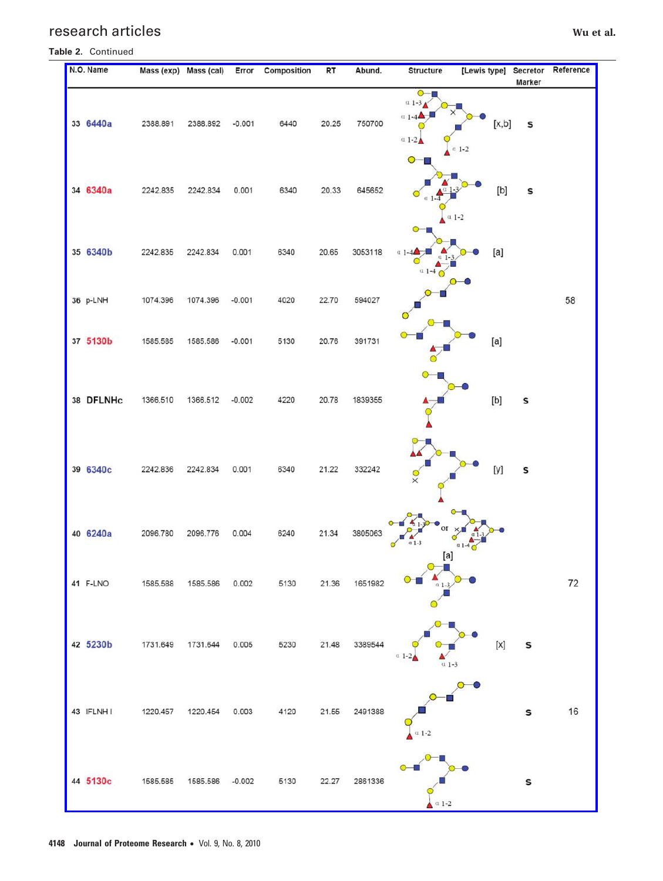# research articles **Wu et al. Wu et al. Wu et al. Wu et al. Wu et al. Wu et al.**

### **Table 2.** Continued

| N.O. Name                  |                    |          |          | Mass (exp) Mass (cal) Error Composition | RT    | Abund.        | <b>Structure</b>                                                | [Lewis type] Secretor Reference                                                                                                                                                                                                                                         | Marker |    |
|----------------------------|--------------------|----------|----------|-----------------------------------------|-------|---------------|-----------------------------------------------------------------|-------------------------------------------------------------------------------------------------------------------------------------------------------------------------------------------------------------------------------------------------------------------------|--------|----|
| 33 6440a                   | 2388.891           | 2388.892 | $-0.001$ | 6440                                    | 20.25 | 750700        | $O-I$<br>$a$ 1-3 $\triangle$<br>$\alpha$ 1-4 $\Delta$<br>$a1-2$ | [X,b]<br>$a$ 1-2                                                                                                                                                                                                                                                        | S      |    |
| 34 6340a                   | 2242.835           | 2242.834 | 0.001    | 6340                                    | 20.33 | 645652        | $\bullet$<br>$a1-4$                                             | [b]<br>$\alpha$ 1-2                                                                                                                                                                                                                                                     | S      |    |
| 35 6340b                   | 2242.835           | 2242.834 | 0.001    | 6340                                    | 20.65 | 3053118       | $\circ$ -<br>$\alpha$ 1-44<br>$a1-4$                            | [a]                                                                                                                                                                                                                                                                     |        |    |
| 36 p-LNH                   | 1074.396           | 1074.396 | $-0.001$ | 4020                                    | 22.70 | 594027        |                                                                 |                                                                                                                                                                                                                                                                         |        | 58 |
| 37 5130b                   | 1585.585           | 1585.586 | $-0.001$ | 5130                                    | 20.76 | 391731        |                                                                 | [a]                                                                                                                                                                                                                                                                     |        |    |
| 38 DFLNHc                  | 1366.510           | 1366.512 | $-0.002$ | 4220                                    | 20.78 | 1839355       |                                                                 | $[b] \centering% \includegraphics[width=1.0\textwidth]{Figures/PD1.png} \caption{The 3D (top) and the 4D (bottom) of the 3D (bottom) and the 4D (bottom) of the 3D (bottom) and the 4D (bottom) of the 3D (bottom). The 3D (bottom) is the 3D (bottom).} \label{fig:1}$ | s      |    |
| 39 6340c                   | 2242.836           | 2242.834 | 0.001    | 6340                                    | 21.22 | 332242        | $\times$                                                        | $[{\mathsf y}]$                                                                                                                                                                                                                                                         | s      |    |
| 40 6240a                   | 2096.780           | 2096.776 | 0.004    | 6240                                    | 21.34 | 3805063       | $a$ 1-3<br>[a]                                                  |                                                                                                                                                                                                                                                                         |        |    |
| 41 F-LNO                   | 1585.588           | 1585.586 | 0.002    | 5130                                    |       | 21.36 1651982 | $O-I$<br>$O-I$                                                  |                                                                                                                                                                                                                                                                         |        | 72 |
| 42 5230b 1731.649 1731.644 |                    |          | 0.005    | 5230                                    | 21.48 | 3389544       |                                                                 | $[ \times ]$<br>$a$ 1-3                                                                                                                                                                                                                                                 | s      |    |
| 43 IFLNH I                 | 1220.457  1220.454 |          | 0.003    | 4120                                    | 21.55 | 2491388       | $a$ 1-2                                                         |                                                                                                                                                                                                                                                                         | S      | 16 |
| 44 5130c                   | 1585.585  1585.586 |          | $-0.002$ | 5130                                    | 22.27 | 2861336       | $\alpha$ 1-2                                                    |                                                                                                                                                                                                                                                                         | s      |    |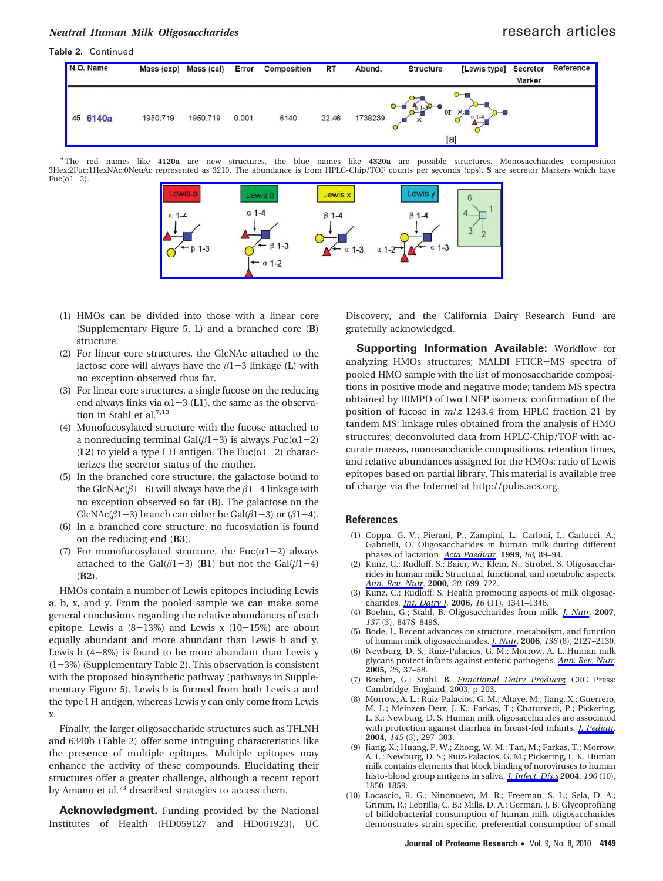**Table 2.** Continued



*<sup>a</sup>* The red names like **4120a** are new structures, the blue names like **4320a** are possible structures. Monosaccharides composition 3Hex:2Fuc:1HexNAc:0NeuAc represented as 3210. The abundance is from HPLC-Chip/TOF counts per seconds (cps). **S** are secretor Markers which have  $Fuc(\alpha 1-2)$ .



- (1) HMOs can be divided into those with a linear core (Supplementary Figure 5, L) and a branched core (**B**) structure.
- (2) For linear core structures, the GlcNAc attached to the lactose core will always have the  $\beta$ 1-3 linkage (**L**) with no exception observed thus far.
- (3) For linear core structures, a single fucose on the reducing end always links via  $\alpha$ 1-3 (**L1**), the same as the observation in Stahl et al.<sup>7,13</sup>
- (4) Monofucosylated structure with the fucose attached to a nonreducing terminal Gal( $\beta$ 1-3) is always Fuc( $\alpha$ 1-2) (L2) to yield a type I H antigen. The  $Fuc(\alpha 1-2)$  characterizes the secretor status of the mother.
- (5) In the branched core structure, the galactose bound to the GlcNAc( $\beta$ 1-6) will always have the  $\beta$ 1-4 linkage with no exception observed so far (**B**). The galactose on the GlcNAc( $\beta$ 1-3) branch can either be Gal( $\beta$ 1-3) or ( $\beta$ 1-4).
- (6) In a branched core structure, no fucosylation is found on the reducing end (**B3**).
- (7) For monofucosylated structure, the Fuc( $\alpha$ 1-2) always attached to the Gal $(\beta1-3)$  (B1) but not the Gal $(\beta1-4)$ (**B2**).

HMOs contain a number of Lewis epitopes including Lewis a, b, x, and y. From the pooled sample we can make some general conclusions regarding the relative abundances of each epitope. Lewis a  $(8-13\%)$  and Lewis x  $(10-15\%)$  are about equally abundant and more abundant than Lewis b and y. Lewis b  $(4-8\%)$  is found to be more abundant than Lewis y  $(1-3\%)$  (Supplementary Table 2). This observation is consistent with the proposed biosynthetic pathway (pathways in Supplementary Figure 5). Lewis b is formed from both Lewis a and the type I H antigen, whereas Lewis y can only come from Lewis x.

Finally, the larger oligosaccharide structures such as TFLNH and 6340b (Table 2) offer some intriguing characteristics like the presence of multiple epitopes. Multiple epitopes may enhance the activity of these compounds. Elucidating their structures offer a greater challenge, although a recent report by Amano et al.<sup>73</sup> described strategies to access them.

**Acknowledgment.** Funding provided by the National Institutes of Health (HD059127 and HD061923), UC

Discovery, and the California Dairy Research Fund are gratefully acknowledged.

**Supporting Information Available:** Workflow for analyzing HMOs structures; MALDI FTICR-MS spectra of pooled HMO sample with the list of monosaccharide compositions in positive mode and negative mode; tandem MS spectra obtained by IRMPD of two LNFP isomers; confirmation of the position of fucose in *m*/*z* 1243.4 from HPLC fraction 21 by tandem MS; linkage rules obtained from the analysis of HMO structures; deconvoluted data from HPLC-Chip/TOF with accurate masses, monosaccharide compositions, retention times, and relative abundances assigned for the HMOs; ratio of Lewis epitopes based on partial library. This material is available free of charge via the Internet at http://pubs.acs.org.

### **References**

- (1) Coppa, G. V.; Pierani, P.; Zampini, L.; Carloni, I.; Carlucci, A.; Gabrielli, O. Oligosaccharides in human milk during different phases of lactation. *Acta Paediatr.* **1999**, *88*, 89–94.
- (2) Kunz, C.; Rudloff, S.; Baier, W.; Klein, N.; Strobel, S. Oligosaccharides in human milk: Structural, functional, and metabolic aspects. *Ann. Rev. Nutr.* **2000**, *20*, 699–722.
- (3) Kunz, C.; Rudloff, S. Health promoting aspects of milk oligosaccharides. *Int. Dairy J.* **2006**, *16* (11), 1341–1346.
- (4) Boehm, G.; Stahl, B. Oligosaccharides from milk. *J. Nutr.* **2007**, *137* (3), 847S–849S.
- (5) Bode, L. Recent advances on structure, metabolism, and function of human milk oligosaccharides. *J. Nutr.* **2006**, *136* (8), 2127–2130.
- (6) Newburg, D. S.; Ruiz-Palacios, G. M.; Morrow, A. L. Human milk glycans protect infants against enteric pathogens. *Ann. Rev. Nutr.* **2005**, *25*, 37–58.
- (7) Boehm, G.; Stahl, B. *Functional Dairy Products*; CRC Press: Cambridge, England, 2003; p 203.
- (8) Morrow, A. L.; Ruiz-Palacios, G. M.; Altaye, M.; Jiang, X.; Guerrero, M. L.; Meinzen-Derr, J. K.; Farkas, T.; Chaturvedi, P.; Pickering, L. K.; Newburg, D. S. Human milk oligosaccharides are associated with protection against diarrhea in breast-fed infants. *J. Pediatr.* **2004**, *145* (3), 297–303.
- (9) Jiang, X.; Huang, P. W.; Zhong, W. M.; Tan, M.; Farkas, T.; Morrow, A. L.; Newburg, D. S.; Ruiz-Palacios, G. M.; Pickering, L. K. Human milk contains elements that block binding of noroviruses to human histo-blood group antigens in saliva. *J. Infect. Dis.s* **2004**, *190* (10), 1850–1859.
- (10) Locascio, R. G.; Ninonuevo, M. R.; Freeman, S. L.; Sela, D. A.; Grimm, R.; Lebrilla, C. B.; Mills, D. A.; German, J. B. Glycoprofiling of bifidobacterial consumption of human milk oligosaccharides demonstrates strain specific, preferential consumption of small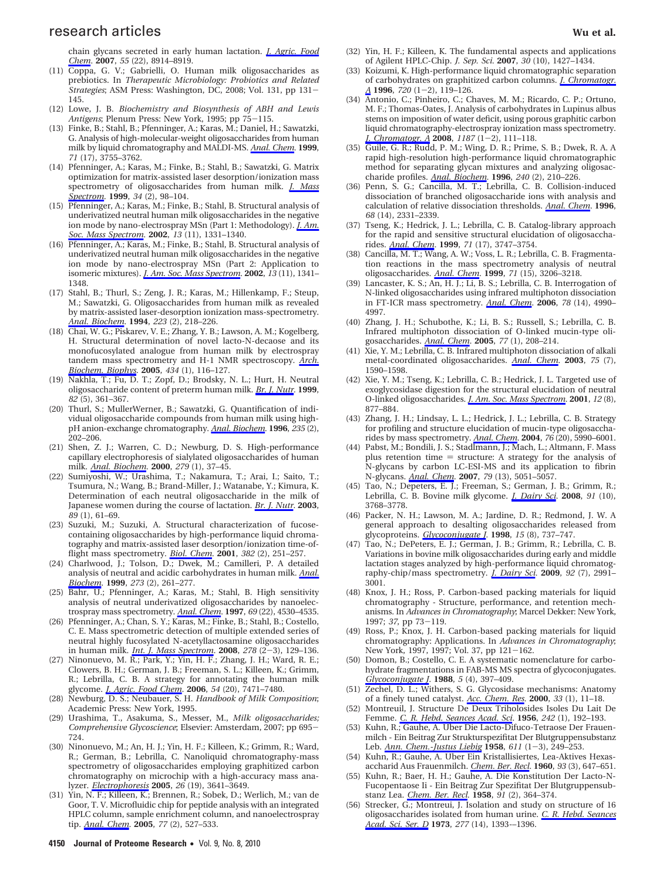## research articles **Wu et al. Wu et al. Wu et al. Wu et al. Wu et al. Wu et al.**

chain glycans secreted in early human lactation. *J. Agric. Food Chem.* **2007**, *55* (22), 8914–8919.

- (11) Coppa, G. V.; Gabrielli, O. Human milk oligosaccharides as prebiotics. In *Therapeutic Microbiology: Probiotics and Related Strategies*; ASM Press: Washington, DC, 2008; Vol. 131, pp 131- 145.
- (12) Lowe, J. B. *Biochemistry and Biosynthesis of ABH and Lewis Antigens*; Plenum Press: New York, 1995; pp 75-115.
- (13) Finke, B.; Stahl, B.; Pfenninger, A.; Karas, M.; Daniel, H.; Sawatzki, G. Analysis of high-molecular-weight oligosaccharides from human milk by liquid chromatography and MALDI-MS. *Anal. Chem.* **1999**, *71* (17), 3755–3762.
- (14) Pfenninger, A.; Karas, M.; Finke, B.; Stahl, B.; Sawatzki, G. Matrix optimization for matrix-assisted laser desorption/ionization mass spectrometry of oligosaccharides from human milk. *J. Mass Spectrom.* **1999**, *34* (2), 98–104.
- (15) Pfenninger, A.; Karas, M.; Finke, B.; Stahl, B. Structural analysis of underivatized neutral human milk oligosaccharides in the negative ion mode by nano-electrospray MSn (Part 1: Methodology). *J. Am. Soc. Mass Spectrom.* **2002**, *13* (11), 1331–1340.
- (16) Pfenninger, A.; Karas, M.; Finke, B.; Stahl, B. Structural analysis of underivatized neutral human milk oligosaccharides in the negative ion mode by nano-electrospray MSn (Part 2: Application to isomeric mixtures). *J. Am. Soc. Mass Spectrom.* **2002**, *13* (11), 1341– 1348.
- (17) Stahl, B.; Thurl, S.; Zeng, J. R.; Karas, M.; Hillenkamp, F.; Steup, M.; Sawatzki, G. Oligosaccharides from human milk as revealed by matrix-assisted laser-desorption ionization mass-spectrometry. *Anal. Biochem.* **1994**, *223* (2), 218–226.
- (18) Chai, W. G.; Piskarev, V. E.; Zhang, Y. B.; Lawson, A. M.; Kogelberg, H. Structural determination of novel lacto-N-decaose and its monofucosylated analogue from human milk by electrospray tandem mass spectrometry and H-1 NMR spectroscopy. *Arch. Biochem. Biophys.* **2005**, *434* (1), 116–127.
- (19) Nakhla, T.; Fu, D. T.; Zopf, D.; Brodsky, N. L.; Hurt, H. Neutral oligosaccharide content of preterm human milk. *Br. J. Nutr.* **1999**, *82* (5), 361–367.
- (20) Thurl, S.; MullerWerner, B.; Sawatzki, G. Quantification of individual oligosaccharide compounds from human milk using highpH anion-exchange chromatography. *Anal. Biochem.* **1996**, *235* (2), 202–206.
- (21) Shen, Z. J.; Warren, C. D.; Newburg, D. S. High-performance capillary electrophoresis of sialylated oligosaccharides of human milk. *Anal. Biochem.* **2000**, *279* (1), 37–45.
- (22) Sumiyoshi, W.; Urashima, T.; Nakamura, T.; Arai, I.; Saito, T.; Tsumura, N.; Wang, B.; Brand-Miller, J.; Watanabe, Y.; Kimura, K. Determination of each neutral oligosaccharide in the milk of Japanese women during the course of lactation. *Br. J. Nutr.* **2003**, *89* (1), 61–69.
- (23) Suzuki, M.; Suzuki, A. Structural characterization of fucosecontaining oligosaccharides by high-performance liquid chromatography and matrix-assisted laser desorption/ionization time-offlight mass spectrometry. *Biol. Chem.* **2001**, *382* (2), 251–257.
- (24) Charlwood, J.; Tolson, D.; Dwek, M.; Camilleri, P. A detailed analysis of neutral and acidic carbohydrates in human milk. *Anal. Biochem.* **1999**, *273* (2), 261–277.
- (25) Bahr, U.; Pfenninger, A.; Karas, M.; Stahl, B. High sensitivity analysis of neutral underivatized oligosaccharides by nanoelectrospray mass spectrometry. *Anal. Chem.* **1997**, *69* (22), 4530–4535.
- (26) Pfenninger, A.; Chan, S. Y.; Karas, M.; Finke, B.; Stahl, B.; Costello, C. E. Mass spectrometric detection of multiple extended series of neutral highly fucosylated N-acetyllactosamine oligosaccharides in human milk. *Int. J. Mass Spectrom.* **<sup>2008</sup>**, *<sup>278</sup>* (2-3), 129–136.
- (27) Ninonuevo, M. R.; Park, Y.; Yin, H. F.; Zhang, J. H.; Ward, R. E.; Clowers, B. H.; German, J. B.; Freeman, S. L.; Killeen, K.; Grimm, R.; Lebrilla, C. B. A strategy for annotating the human milk glycome. *J. Agric. Food Chem.* **2006**, *54* (20), 7471–7480.
- (28) Newburg, D. S.; Neubauer, S. H. *Handbook of Milk Composition*; Academic Press: New York, 1995.
- (29) Urashima, T., Asakuma, S., Messer, M., *Milk oligosaccharides; Comprehensive Glycoscience*; Elsevier: Amsterdam, 2007; pp 695- 724.
- (30) Ninonuevo, M.; An, H. J.; Yin, H. F.; Killeen, K.; Grimm, R.; Ward, R.; German, B.; Lebrilla, C. Nanoliquid chromatography-mass spectrometry of oligosaccharides employing graphitized carbon chromatography on microchip with a high-accuracy mass analyzer. *Electrophoresis* **2005**, *26* (19), 3641–3649.
- (31) Yin, N. F.; Killeen, K.; Brennen, R.; Sobek, D.; Werlich, M.; van de Goor, T. V. Microfluidic chip for peptide analysis with an integrated HPLC column, sample enrichment column, and nanoelectrospray tip. *Anal. Chem.* **2005**, *77* (2), 527–533.
- **4150 Journal of Proteome Research •** Vol. 9, No. 8, 2010
- (32) Yin, H. F.; Killeen, K. The fundamental aspects and applications of Agilent HPLC-Chip. *J. Sep. Sci.* **2007**, *30* (10), 1427–1434.
- Koizumi, K. High-performance liquid chromatographic separation of carbohydrates on graphitized carbon columns. *J. Chromatogr. <sup>A</sup>* **<sup>1996</sup>**, *<sup>720</sup>* (1-2), 119–126.
- (34) Antonio, C.; Pinheiro, C.; Chaves, M. M.; Ricardo, C. P.; Ortuno, M. F.; Thomas-Oates, J. Analysis of carbohydrates in Lupinus albus stems on imposition of water deficit, using porous graphitic carbon liquid chromatography-electrospray ionization mass spectrometry. *J. Chromatogr. A* **<sup>2008</sup>**, *<sup>1187</sup>* (1-2), 111–118.
- (35) Guile, G. R.; Rudd, P. M.; Wing, D. R.; Prime, S. B.; Dwek, R. A. A rapid high-resolution high-performance liquid chromatographic method for separating glycan mixtures and analyzing oligosaccharide profiles. *Anal. Biochem.* **1996**, *240* (2), 210–226.
- (36) Penn, S. G.; Cancilla, M. T.; Lebrilla, C. B. Collision-induced dissociation of branched oligosaccharide ions with analysis and calculation of relative dissociation thresholds. *Anal. Chem.* **1996**, *68* (14), 2331–2339.
- (37) Tseng, K.; Hedrick, J. L.; Lebrilla, C. B. Catalog-library approach for the rapid and sensitive structural elucidation of oligosaccharides. *Anal. Chem.* **1999**, *71* (17), 3747–3754.
- (38) Cancilla, M. T.; Wang, A. W.; Voss, L. R.; Lebrilla, C. B. Fragmentation reactions in the mass spectrometry analysis of neutral oligosaccharides. *Anal. Chem.* **1999**, *71* (15), 3206–3218.
- (39) Lancaster, K. S.; An, H. J.; Li, B. S.; Lebrilla, C. B. Interrogation of N-linked oligosaccharides using infrared multiphoton dissociation in FT-ICR mass spectrometry. *Anal. Chem.* **2006**, *78* (14), 4990– 4997.
- (40) Zhang, J. H.; Schubothe, K.; Li, B. S.; Russell, S.; Lebrilla, C. B. Infrared multiphoton dissociation of O-linked mucin-type oligosaccharides. *Anal. Chem.* **2005**, *77* (1), 208–214.
- (41) Xie, Y. M.; Lebrilla, C. B. Infrared multiphoton dissociation of alkali metal-coordinated oligosaccharides. *Anal. Chem.* **2003**, *75* (7), 1590–1598.
- (42) Xie, Y. M.; Tseng, K.; Lebrilla, C. B.; Hedrick, J. L. Targeted use of exoglycosidase digestion for the structural elucidation of neutral O-linked oligosaccharides. *J. Am. Soc. Mass Spectrom.* **2001**, *12* (8), 877–884.
- (43) Zhang, J. H.; Lindsay, L. L.; Hedrick, J. L.; Lebrilla, C. B. Strategy for profiling and structure elucidation of mucin-type oligosaccharides by mass spectrometry. *Anal. Chem.* **2004**, *76* (20), 5990–6001.
- (44) Pabst, M.; Bondili, J. S.; Stadlmann, J.; Mach, L.; Altmann, F. Mass plus retention time  $=$  structure: A strategy for the analysis of N-glycans by carbon LC-ESI-MS and its application to fibrin N-glycans. *Anal. Chem.* **2007**, *79* (13), 5051–5057.
- (45) Tao, N.; Depeters, E. J.; Freeman, S.; German, J. B.; Grimm, R.; Lebrilla, C. B. Bovine milk glycome. *J. Dairy Sci.* **2008**, *91* (10), 3768–3778.
- (46) Packer, N. H.; Lawson, M. A.; Jardine, D. R.; Redmond, J. W. A general approach to desalting oligosaccharides released from glycoproteins. *Glycoconjugate J.* **1998**, *15* (8), 737–747.
- (47) Tao, N.; DePeters, E. J.; German, J. B.; Grimm, R.; Lebrilla, C. B. Variations in bovine milk oligosaccharides during early and middle lactation stages analyzed by high-performance liquid chromatography-chip/mass spectrometry. *J. Dairy Sci.* **2009**, *92* (7), 2991– 3001.
- (48) Knox, J. H.; Ross, P. Carbon-based packing materials for liquid chromatography - Structure, performance, and retention mechanisms. In *Advances in Chromatography*; Marcel Dekker: New York, 1997; *<sup>37</sup>*, pp 73-119.
- (49) Ross, P.; Knox, J. H. Carbon-based packing materials for liquid chromatography: Applications. In *Advances in Chromatography*; New York, 1997, 1997; Vol. 37, pp 121-162.
- (50) Domon, B.; Costello, C. E. A systematic nomenclature for carbohydrate fragmentations in FAB-MS MS spectra of glycoconjugates. *Glycoconjugate J.* **1988**, *5* (4), 397–409.
- (51) Zechel, D. L.; Withers, S. G. Glycosidase mechanisms: Anatomy of a finely tuned catalyst. *Acc. Chem. Res.* **2000**, *33* (1), 11–18.
- (52) Montreuil, J. Structure De Deux Triholosides Isoles Du Lait De Femme. *C. R. Hebd. Seances Acad. Sci.* **1956**, *242* (1), 192–193.
- (53) Kuhn, R.; Gauhe, A. Uber Die Lacto-Difuco-Tetraose Der Frauenmilch - Ein Beitrag Zur Strukturspezifitat Der Blutgruppensubstanz Leb. *Ann. Chem.-Justus Liebig* **<sup>1958</sup>**, *<sup>611</sup>* (1-3), 249–253.
- (54) Kuhn, R.; Gauhe, A. Uber Ein Kristallisiertes, Lea-Aktives Hexasaccharid Aus Frauenmilch. *Chem. Ber. Recl.* **1960**, *93* (3), 647–651.
- (55) Kuhn, R.; Baer, H. H.; Gauhe, A. Die Konstitution Der Lacto-N-Fucopentaose Ii - Ein Beitrag Zur Spezifitat Der Blutgruppensubstanz Lea. *Chem. Ber. Recl.* **1958**, *91* (2), 364–374.
- (56) Strecker, G.; Montreui, J. Isolation and study on structure of 16 oligosaccharides isolated from human urine. *C. R. Hebd. Seances Acad. Sci. Ser. D* **1973**, *277* (14), 1393-–1396.